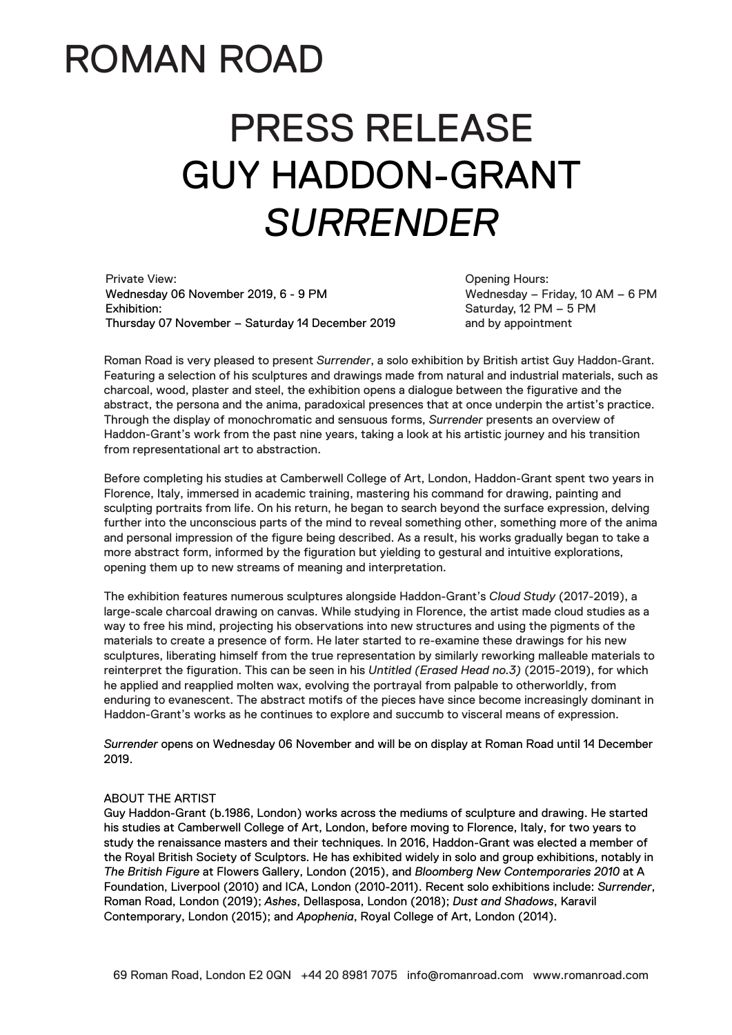## ROMAN ROAD

# PRESS RELEASE GUY HADDON-GRANT *SURRENDER*

Private View: Wednesday 06 November 2019, 6 - 9 PM Exhibition: Thursday 07 November – Saturday 14 December 2019

Opening Hours: Wednesday – Friday, 10 AM – 6 PM Saturday, 12 PM – 5 PM and by appointment

Roman Road is very pleased to present *Surrender*, a solo exhibition by British artist Guy Haddon-Grant. Featuring a selection of his sculptures and drawings made from natural and industrial materials, such as charcoal, wood, plaster and steel, the exhibition opens a dialogue between the figurative and the abstract, the persona and the anima, paradoxical presences that at once underpin the artist's practice. Through the display of monochromatic and sensuous forms, *Surrender* presents an overview of Haddon-Grant's work from the past nine years, taking a look at his artistic journey and his transition from representational art to abstraction.

Before completing his studies at Camberwell College of Art, London, Haddon-Grant spent two years in Florence, Italy, immersed in academic training, mastering his command for drawing, painting and sculpting portraits from life. On his return, he began to search beyond the surface expression, delving further into the unconscious parts of the mind to reveal something other, something more of the anima and personal impression of the figure being described. As a result, his works gradually began to take a more abstract form, informed by the figuration but yielding to gestural and intuitive explorations, opening them up to new streams of meaning and interpretation.

The exhibition features numerous sculptures alongside Haddon-Grant's *Cloud Study* (2017-2019), a large-scale charcoal drawing on canvas. While studying in Florence, the artist made cloud studies as a way to free his mind, projecting his observations into new structures and using the pigments of the materials to create a presence of form. He later started to re-examine these drawings for his new sculptures, liberating himself from the true representation by similarly reworking malleable materials to reinterpret the figuration. This can be seen in his *Untitled (Erased Head no.3)* (2015-2019), for which he applied and reapplied molten wax, evolving the portrayal from palpable to otherworldly, from enduring to evanescent. The abstract motifs of the pieces have since become increasingly dominant in Haddon-Grant's works as he continues to explore and succumb to visceral means of expression.

*Surrender* opens on Wednesday 06 November and will be on display at Roman Road until 14 December 2019.

#### ABOUT THE ARTIST

Guy Haddon-Grant (b.1986, London) works across the mediums of sculpture and drawing. He started his studies at Camberwell College of Art, London, before moving to Florence, Italy, for two years to study the renaissance masters and their techniques. In 2016, Haddon-Grant was elected a member of the Royal British Society of Sculptors. He has exhibited widely in solo and group exhibitions, notably in *The British Figure* at Flowers Gallery, London (2015), and *Bloomberg New Contemporaries 2010* at A Foundation, Liverpool (2010) and ICA, London (2010-2011). Recent solo exhibitions include: *Surrender*, Roman Road, London (2019); *Ashes*, Dellasposa, London (2018); *Dust and Shadows*, Karavil Contemporary, London (2015); and *Apophenia*, Royal College of Art, London (2014).